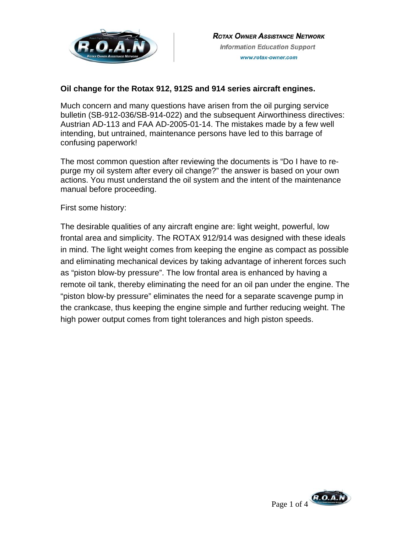

# **Oil change for the Rotax 912, 912S and 914 series aircraft engines.**

Much concern and many questions have arisen from the oil purging service bulletin (SB-912-036/SB-914-022) and the subsequent Airworthiness directives: Austrian AD-113 and FAA AD-2005-01-14. The mistakes made by a few well intending, but untrained, maintenance persons have led to this barrage of confusing paperwork!

The most common question after reviewing the documents is "Do I have to repurge my oil system after every oil change?" the answer is based on your own actions. You must understand the oil system and the intent of the maintenance manual before proceeding.

First some history:

The desirable qualities of any aircraft engine are: light weight, powerful, low frontal area and simplicity. The ROTAX 912/914 was designed with these ideals in mind. The light weight comes from keeping the engine as compact as possible and eliminating mechanical devices by taking advantage of inherent forces such as "piston blow-by pressure". The low frontal area is enhanced by having a remote oil tank, thereby eliminating the need for an oil pan under the engine. The "piston blow-by pressure" eliminates the need for a separate scavenge pump in the crankcase, thus keeping the engine simple and further reducing weight. The high power output comes from tight tolerances and high piston speeds.

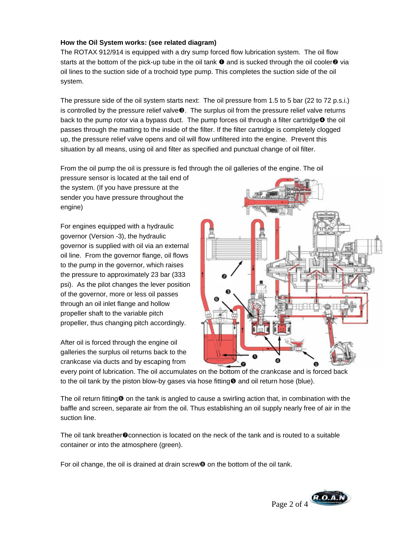## **How the Oil System works: (see related diagram)**

The ROTAX 912/914 is equipped with a dry sump forced flow lubrication system. The oil flow starts at the bottom of the pick-up tube in the oil tank  $\bullet$  and is sucked through the oil cooler $\bullet$  via oil lines to the suction side of a trochoid type pump. This completes the suction side of the oil system.

The pressure side of the oil system starts next: The oil pressure from 1.5 to 5 bar (22 to 72 p.s.i.) is controlled by the pressure relief valve $\bullet$ . The surplus oil from the pressure relief valve returns back to the pump rotor via a bypass duct. The pump forces oil through a filter cartridge $\boldsymbol{\Phi}$  the oil passes through the matting to the inside of the filter. If the filter cartridge is completely clogged up, the pressure relief valve opens and oil will flow unfiltered into the engine. Prevent this situation by all means, using oil and filter as specified and punctual change of oil filter.

From the oil pump the oil is pressure is fed through the oil galleries of the engine. The oil

pressure sensor is located at the tail end of the system. (If you have pressure at the sender you have pressure throughout the engine)

For engines equipped with a hydraulic governor (Version -3), the hydraulic governor is supplied with oil via an external oil line. From the governor flange, oil flows to the pump in the governor, which raises the pressure to approximately 23 bar (333 psi). As the pilot changes the lever position of the governor, more or less oil passes through an oil inlet flange and hollow propeller shaft to the variable pitch propeller, thus changing pitch accordingly.

After oil is forced through the engine oil galleries the surplus oil returns back to the crankcase via ducts and by escaping from



every point of lubrication. The oil accumulates on the bottom of the crankcase and is forced back to the oil tank by the piston blow-by gases via hose fitting  $\Theta$  and oil return hose (blue).

The oil return fitting  $\Theta$  on the tank is angled to cause a swirling action that, in combination with the baffle and screen, separate air from the oil. Thus establishing an oil supply nearly free of air in the suction line.

The oil tank breather  $\odot$  connection is located on the neck of the tank and is routed to a suitable container or into the atmosphere (green).

For oil change, the oil is drained at drain screw $\Theta$  on the bottom of the oil tank.

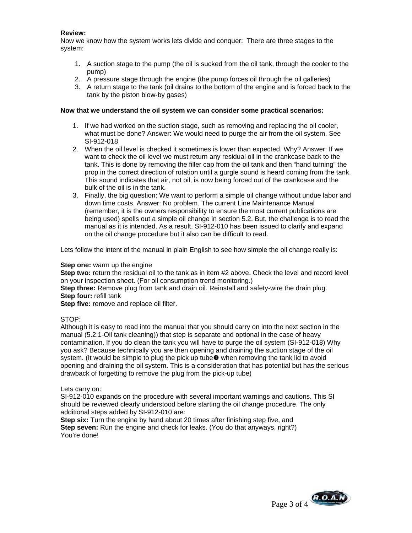## **Review:**

Now we know how the system works lets divide and conquer: There are three stages to the system:

- 1. A suction stage to the pump (the oil is sucked from the oil tank, through the cooler to the pump)
- 2. A pressure stage through the engine (the pump forces oil through the oil galleries)
- 3. A return stage to the tank (oil drains to the bottom of the engine and is forced back to the tank by the piston blow-by gases)

#### **Now that we understand the oil system we can consider some practical scenarios:**

- 1. If we had worked on the suction stage, such as removing and replacing the oil cooler, what must be done? Answer: We would need to purge the air from the oil system. See SI-912-018
- 2. When the oil level is checked it sometimes is lower than expected. Why? Answer: If we want to check the oil level we must return any residual oil in the crankcase back to the tank. This is done by removing the filler cap from the oil tank and then "hand turning" the prop in the correct direction of rotation until a gurgle sound is heard coming from the tank. This sound indicates that air, not oil, is now being forced out of the crankcase and the bulk of the oil is in the tank.
- 3. Finally, the big question: We want to perform a simple oil change without undue labor and down time costs. Answer: No problem. The current Line Maintenance Manual (remember, it is the owners responsibility to ensure the most current publications are being used) spells out a simple oil change in section 5.2. But, the challenge is to read the manual as it is intended. As a result, SI-912-010 has been issued to clarify and expand on the oil change procedure but it also can be difficult to read.

Lets follow the intent of the manual in plain English to see how simple the oil change really is:

#### **Step one:** warm up the engine

**Step two:** return the residual oil to the tank as in item #2 above. Check the level and record level on your inspection sheet. (For oil consumption trend monitoring.)

**Step three:** Remove plug from tank and drain oil. Reinstall and safety-wire the drain plug. **Step four:** refill tank

**Step five:** remove and replace oil filter.

#### STOP:

Although it is easy to read into the manual that you should carry on into the next section in the manual (5.2.1-Oil tank cleaning)) that step is separate and optional in the case of heavy contamination. If you do clean the tank you will have to purge the oil system (SI-912-018) Why you ask? Because technically you are then opening and draining the suction stage of the oil system. (It would be simple to plug the pick up tube $\bullet$  when removing the tank lid to avoid opening and draining the oil system. This is a consideration that has potential but has the serious drawback of forgetting to remove the plug from the pick-up tube)

#### Lets carry on:

SI-912-010 expands on the procedure with several important warnings and cautions. This SI should be reviewed clearly understood before starting the oil change procedure. The only additional steps added by SI-912-010 are:

**Step six:** Turn the engine by hand about 20 times after finishing step five, and **Step seven:** Run the engine and check for leaks. (You do that anyways, right?) You're done!